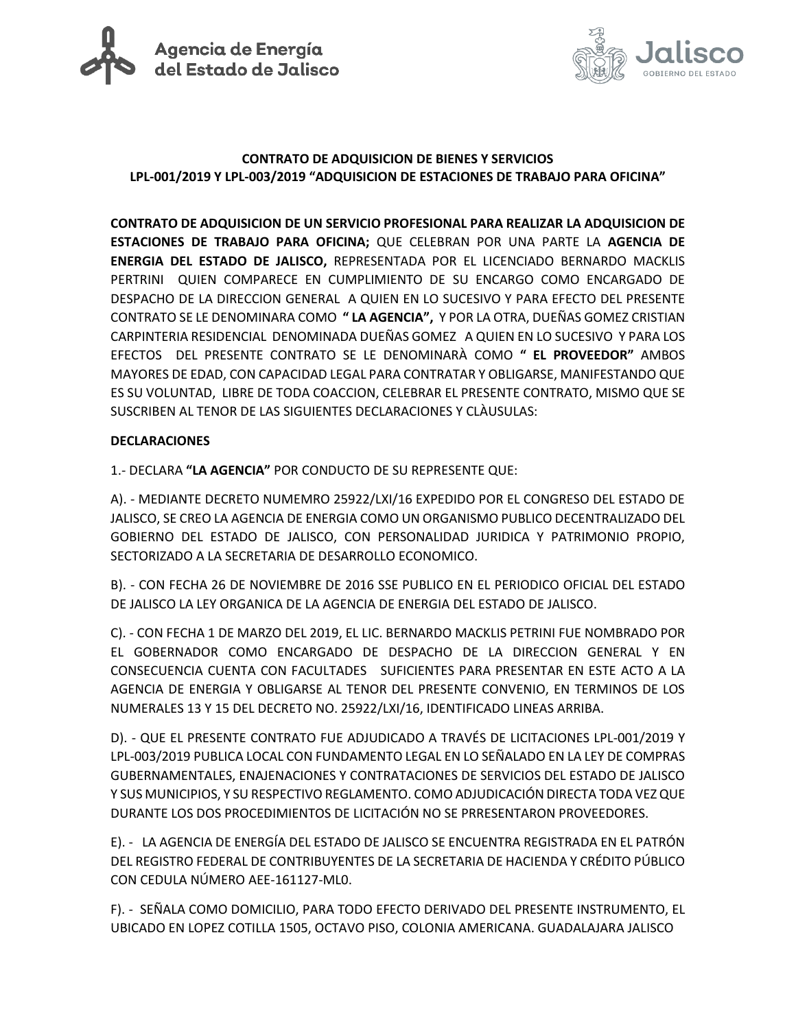



### **CONTRATO DE ADQUISICION DE BIENES Y SERVICIOS LPL-001/2019 Y LPL-003/2019 "ADQUISICION DE ESTACIONES DE TRABAJO PARA OFICINA"**

**CONTRATO DE ADQUISICION DE UN SERVICIO PROFESIONAL PARA REALIZAR LA ADQUISICION DE ESTACIONES DE TRABAJO PARA OFICINA;** QUE CELEBRAN POR UNA PARTE LA **AGENCIA DE ENERGIA DEL ESTADO DE JALISCO,** REPRESENTADA POR EL LICENCIADO BERNARDO MACKLIS PERTRINI QUIEN COMPARECE EN CUMPLIMIENTO DE SU ENCARGO COMO ENCARGADO DE DESPACHO DE LA DIRECCION GENERAL A QUIEN EN LO SUCESIVO Y PARA EFECTO DEL PRESENTE CONTRATO SE LE DENOMINARA COMO **" LA AGENCIA",** Y POR LA OTRA, DUEÑAS GOMEZ CRISTIAN CARPINTERIA RESIDENCIAL DENOMINADA DUEÑAS GOMEZ A QUIEN EN LO SUCESIVO Y PARA LOS EFECTOS DEL PRESENTE CONTRATO SE LE DENOMINARÀ COMO **" EL PROVEEDOR"** AMBOS MAYORES DE EDAD, CON CAPACIDAD LEGAL PARA CONTRATAR Y OBLIGARSE, MANIFESTANDO QUE ES SU VOLUNTAD, LIBRE DE TODA COACCION, CELEBRAR EL PRESENTE CONTRATO, MISMO QUE SE SUSCRIBEN AL TENOR DE LAS SIGUIENTES DECLARACIONES Y CLÀUSULAS:

#### **DECLARACIONES**

1.- DECLARA **"LA AGENCIA"** POR CONDUCTO DE SU REPRESENTE QUE:

A). - MEDIANTE DECRETO NUMEMRO 25922/LXI/16 EXPEDIDO POR EL CONGRESO DEL ESTADO DE JALISCO, SE CREO LA AGENCIA DE ENERGIA COMO UN ORGANISMO PUBLICO DECENTRALIZADO DEL GOBIERNO DEL ESTADO DE JALISCO, CON PERSONALIDAD JURIDICA Y PATRIMONIO PROPIO, SECTORIZADO A LA SECRETARIA DE DESARROLLO ECONOMICO.

B). - CON FECHA 26 DE NOVIEMBRE DE 2016 SSE PUBLICO EN EL PERIODICO OFICIAL DEL ESTADO DE JALISCO LA LEY ORGANICA DE LA AGENCIA DE ENERGIA DEL ESTADO DE JALISCO.

C). - CON FECHA 1 DE MARZO DEL 2019, EL LIC. BERNARDO MACKLIS PETRINI FUE NOMBRADO POR EL GOBERNADOR COMO ENCARGADO DE DESPACHO DE LA DIRECCION GENERAL Y EN CONSECUENCIA CUENTA CON FACULTADES SUFICIENTES PARA PRESENTAR EN ESTE ACTO A LA AGENCIA DE ENERGIA Y OBLIGARSE AL TENOR DEL PRESENTE CONVENIO, EN TERMINOS DE LOS NUMERALES 13 Y 15 DEL DECRETO NO. 25922/LXI/16, IDENTIFICADO LINEAS ARRIBA.

D). - QUE EL PRESENTE CONTRATO FUE ADJUDICADO A TRAVÉS DE LICITACIONES LPL-001/2019 Y LPL-003/2019 PUBLICA LOCAL CON FUNDAMENTO LEGAL EN LO SEÑALADO EN LA LEY DE COMPRAS GUBERNAMENTALES, ENAJENACIONES Y CONTRATACIONES DE SERVICIOS DEL ESTADO DE JALISCO Y SUS MUNICIPIOS, Y SU RESPECTIVO REGLAMENTO. COMO ADJUDICACIÓN DIRECTA TODA VEZ QUE DURANTE LOS DOS PROCEDIMIENTOS DE LICITACIÓN NO SE PRRESENTARON PROVEEDORES.

E). - LA AGENCIA DE ENERGÍA DEL ESTADO DE JALISCO SE ENCUENTRA REGISTRADA EN EL PATRÓN DEL REGISTRO FEDERAL DE CONTRIBUYENTES DE LA SECRETARIA DE HACIENDA Y CRÉDITO PÚBLICO CON CEDULA NÚMERO AEE-161127-ML0.

F). - SEÑALA COMO DOMICILIO, PARA TODO EFECTO DERIVADO DEL PRESENTE INSTRUMENTO, EL UBICADO EN LOPEZ COTILLA 1505, OCTAVO PISO, COLONIA AMERICANA. GUADALAJARA JALISCO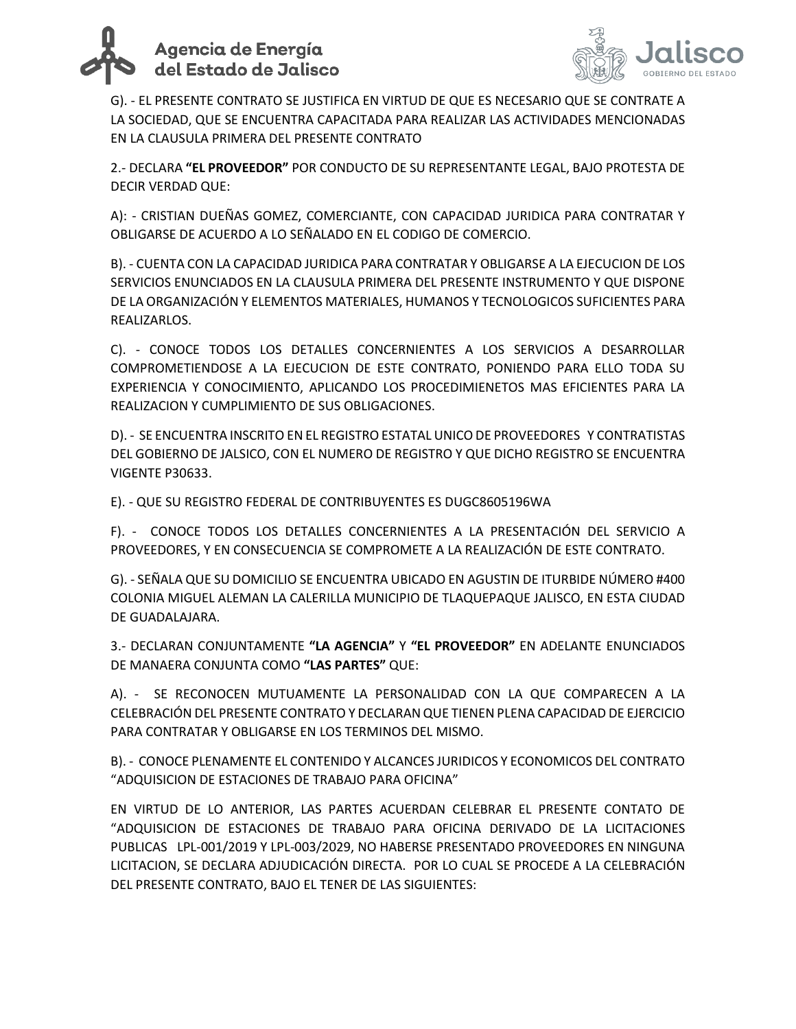



G). - EL PRESENTE CONTRATO SE JUSTIFICA EN VIRTUD DE QUE ES NECESARIO QUE SE CONTRATE A LA SOCIEDAD, QUE SE ENCUENTRA CAPACITADA PARA REALIZAR LAS ACTIVIDADES MENCIONADAS EN LA CLAUSULA PRIMERA DEL PRESENTE CONTRATO

2.- DECLARA **"EL PROVEEDOR"** POR CONDUCTO DE SU REPRESENTANTE LEGAL, BAJO PROTESTA DE DECIR VERDAD QUE:

A): - CRISTIAN DUEÑAS GOMEZ, COMERCIANTE, CON CAPACIDAD JURIDICA PARA CONTRATAR Y OBLIGARSE DE ACUERDO A LO SEÑALADO EN EL CODIGO DE COMERCIO.

B). - CUENTA CON LA CAPACIDAD JURIDICA PARA CONTRATAR Y OBLIGARSE A LA EJECUCION DE LOS SERVICIOS ENUNCIADOS EN LA CLAUSULA PRIMERA DEL PRESENTE INSTRUMENTO Y QUE DISPONE DE LA ORGANIZACIÓN Y ELEMENTOS MATERIALES, HUMANOS Y TECNOLOGICOS SUFICIENTES PARA REALIZARLOS.

C). - CONOCE TODOS LOS DETALLES CONCERNIENTES A LOS SERVICIOS A DESARROLLAR COMPROMETIENDOSE A LA EJECUCION DE ESTE CONTRATO, PONIENDO PARA ELLO TODA SU EXPERIENCIA Y CONOCIMIENTO, APLICANDO LOS PROCEDIMIENETOS MAS EFICIENTES PARA LA REALIZACION Y CUMPLIMIENTO DE SUS OBLIGACIONES.

D). - SE ENCUENTRA INSCRITO EN EL REGISTRO ESTATAL UNICO DE PROVEEDORES Y CONTRATISTAS DEL GOBIERNO DE JALSICO, CON EL NUMERO DE REGISTRO Y QUE DICHO REGISTRO SE ENCUENTRA VIGENTE P30633.

E). - QUE SU REGISTRO FEDERAL DE CONTRIBUYENTES ES DUGC8605196WA

F). - CONOCE TODOS LOS DETALLES CONCERNIENTES A LA PRESENTACIÓN DEL SERVICIO A PROVEEDORES, Y EN CONSECUENCIA SE COMPROMETE A LA REALIZACIÓN DE ESTE CONTRATO.

G). - SEÑALA QUE SU DOMICILIO SE ENCUENTRA UBICADO EN AGUSTIN DE ITURBIDE NÚMERO #400 COLONIA MIGUEL ALEMAN LA CALERILLA MUNICIPIO DE TLAQUEPAQUE JALISCO, EN ESTA CIUDAD DE GUADALAJARA.

3.- DECLARAN CONJUNTAMENTE **"LA AGENCIA"** Y **"EL PROVEEDOR"** EN ADELANTE ENUNCIADOS DE MANAERA CONJUNTA COMO **"LAS PARTES"** QUE:

A). - SE RECONOCEN MUTUAMENTE LA PERSONALIDAD CON LA QUE COMPARECEN A LA CELEBRACIÓN DEL PRESENTE CONTRATO Y DECLARAN QUE TIENEN PLENA CAPACIDAD DE EJERCICIO PARA CONTRATAR Y OBLIGARSE EN LOS TERMINOS DEL MISMO.

B). - CONOCE PLENAMENTE EL CONTENIDO Y ALCANCES JURIDICOS Y ECONOMICOS DEL CONTRATO "ADQUISICION DE ESTACIONES DE TRABAJO PARA OFICINA"

EN VIRTUD DE LO ANTERIOR, LAS PARTES ACUERDAN CELEBRAR EL PRESENTE CONTATO DE "ADQUISICION DE ESTACIONES DE TRABAJO PARA OFICINA DERIVADO DE LA LICITACIONES PUBLICAS LPL-001/2019 Y LPL-003/2029, NO HABERSE PRESENTADO PROVEEDORES EN NINGUNA LICITACION, SE DECLARA ADJUDICACIÓN DIRECTA. POR LO CUAL SE PROCEDE A LA CELEBRACIÓN DEL PRESENTE CONTRATO, BAJO EL TENER DE LAS SIGUIENTES: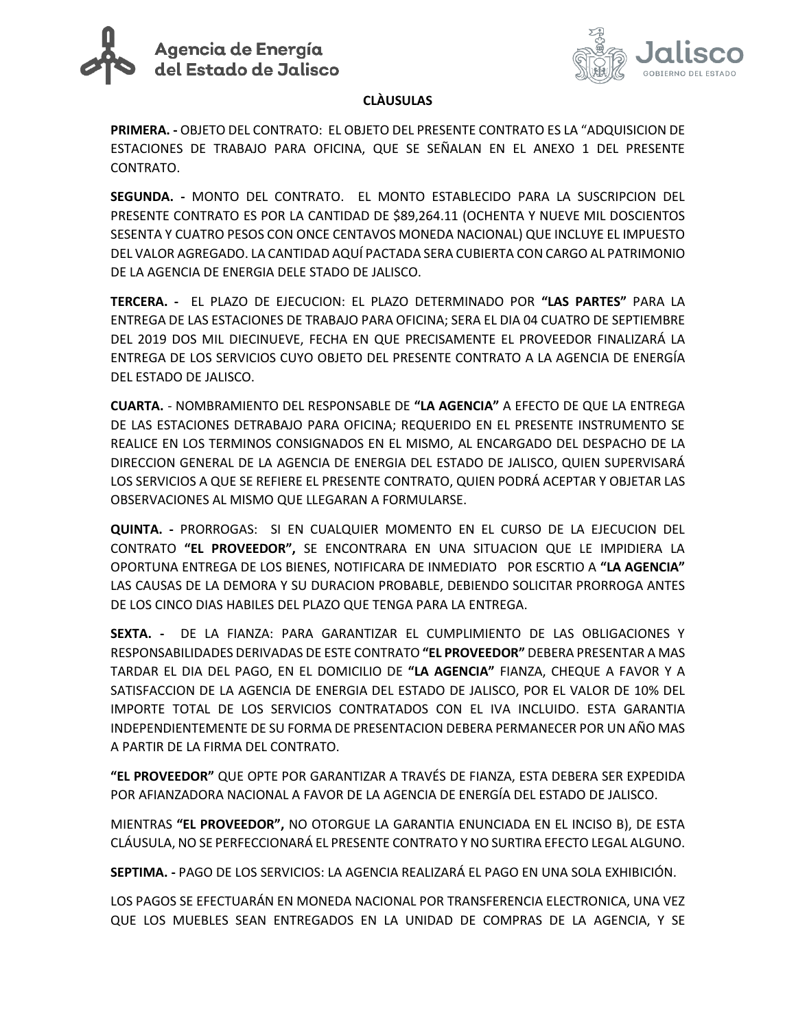



#### **CLÀUSULAS**

**PRIMERA. -** OBJETO DEL CONTRATO: EL OBJETO DEL PRESENTE CONTRATO ES LA "ADQUISICION DE ESTACIONES DE TRABAJO PARA OFICINA, QUE SE SEÑALAN EN EL ANEXO 1 DEL PRESENTE CONTRATO.

**SEGUNDA. -** MONTO DEL CONTRATO. EL MONTO ESTABLECIDO PARA LA SUSCRIPCION DEL PRESENTE CONTRATO ES POR LA CANTIDAD DE \$89,264.11 (OCHENTA Y NUEVE MIL DOSCIENTOS SESENTA Y CUATRO PESOS CON ONCE CENTAVOS MONEDA NACIONAL) QUE INCLUYE EL IMPUESTO DEL VALOR AGREGADO. LA CANTIDAD AQUÍ PACTADA SERA CUBIERTA CON CARGO AL PATRIMONIO DE LA AGENCIA DE ENERGIA DELE STADO DE JALISCO.

**TERCERA. -** EL PLAZO DE EJECUCION: EL PLAZO DETERMINADO POR **"LAS PARTES"** PARA LA ENTREGA DE LAS ESTACIONES DE TRABAJO PARA OFICINA; SERA EL DIA 04 CUATRO DE SEPTIEMBRE DEL 2019 DOS MIL DIECINUEVE, FECHA EN QUE PRECISAMENTE EL PROVEEDOR FINALIZARÁ LA ENTREGA DE LOS SERVICIOS CUYO OBJETO DEL PRESENTE CONTRATO A LA AGENCIA DE ENERGÍA DEL ESTADO DE JALISCO.

**CUARTA.** - NOMBRAMIENTO DEL RESPONSABLE DE **"LA AGENCIA"** A EFECTO DE QUE LA ENTREGA DE LAS ESTACIONES DETRABAJO PARA OFICINA; REQUERIDO EN EL PRESENTE INSTRUMENTO SE REALICE EN LOS TERMINOS CONSIGNADOS EN EL MISMO, AL ENCARGADO DEL DESPACHO DE LA DIRECCION GENERAL DE LA AGENCIA DE ENERGIA DEL ESTADO DE JALISCO, QUIEN SUPERVISARÁ LOS SERVICIOS A QUE SE REFIERE EL PRESENTE CONTRATO, QUIEN PODRÁ ACEPTAR Y OBJETAR LAS OBSERVACIONES AL MISMO QUE LLEGARAN A FORMULARSE.

**QUINTA. -** PRORROGAS: SI EN CUALQUIER MOMENTO EN EL CURSO DE LA EJECUCION DEL CONTRATO **"EL PROVEEDOR",** SE ENCONTRARA EN UNA SITUACION QUE LE IMPIDIERA LA OPORTUNA ENTREGA DE LOS BIENES, NOTIFICARA DE INMEDIATO POR ESCRTIO A **"LA AGENCIA"**  LAS CAUSAS DE LA DEMORA Y SU DURACION PROBABLE, DEBIENDO SOLICITAR PRORROGA ANTES DE LOS CINCO DIAS HABILES DEL PLAZO QUE TENGA PARA LA ENTREGA.

**SEXTA. -** DE LA FIANZA: PARA GARANTIZAR EL CUMPLIMIENTO DE LAS OBLIGACIONES Y RESPONSABILIDADES DERIVADAS DE ESTE CONTRATO **"EL PROVEEDOR"** DEBERA PRESENTAR A MAS TARDAR EL DIA DEL PAGO, EN EL DOMICILIO DE **"LA AGENCIA"** FIANZA, CHEQUE A FAVOR Y A SATISFACCION DE LA AGENCIA DE ENERGIA DEL ESTADO DE JALISCO, POR EL VALOR DE 10% DEL IMPORTE TOTAL DE LOS SERVICIOS CONTRATADOS CON EL IVA INCLUIDO. ESTA GARANTIA INDEPENDIENTEMENTE DE SU FORMA DE PRESENTACION DEBERA PERMANECER POR UN AÑO MAS A PARTIR DE LA FIRMA DEL CONTRATO.

**"EL PROVEEDOR"** QUE OPTE POR GARANTIZAR A TRAVÉS DE FIANZA, ESTA DEBERA SER EXPEDIDA POR AFIANZADORA NACIONAL A FAVOR DE LA AGENCIA DE ENERGÍA DEL ESTADO DE JALISCO.

MIENTRAS **"EL PROVEEDOR",** NO OTORGUE LA GARANTIA ENUNCIADA EN EL INCISO B), DE ESTA CLÁUSULA, NO SE PERFECCIONARÁ EL PRESENTE CONTRATO Y NO SURTIRA EFECTO LEGAL ALGUNO.

**SEPTIMA. -** PAGO DE LOS SERVICIOS: LA AGENCIA REALIZARÁ EL PAGO EN UNA SOLA EXHIBICIÓN.

LOS PAGOS SE EFECTUARÁN EN MONEDA NACIONAL POR TRANSFERENCIA ELECTRONICA, UNA VEZ QUE LOS MUEBLES SEAN ENTREGADOS EN LA UNIDAD DE COMPRAS DE LA AGENCIA, Y SE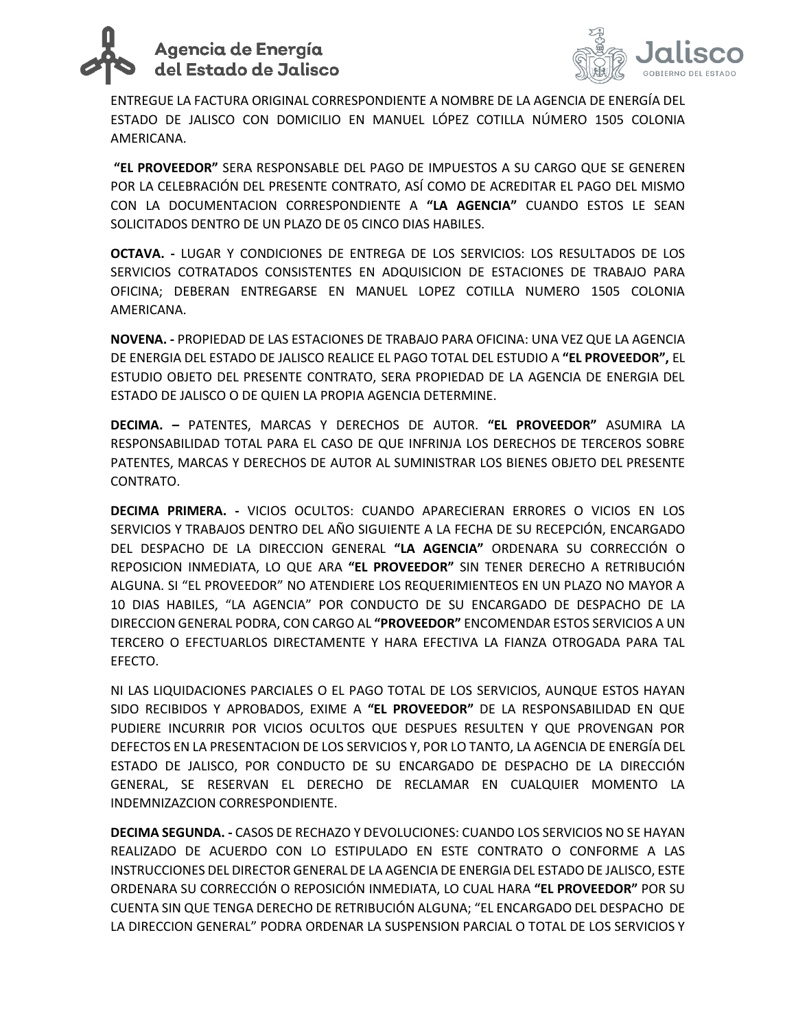# Agencia de Energía del Estado de Jalisco



ENTREGUE LA FACTURA ORIGINAL CORRESPONDIENTE A NOMBRE DE LA AGENCIA DE ENERGÍA DEL ESTADO DE JALISCO CON DOMICILIO EN MANUEL LÓPEZ COTILLA NÚMERO 1505 COLONIA AMERICANA.

**"EL PROVEEDOR"** SERA RESPONSABLE DEL PAGO DE IMPUESTOS A SU CARGO QUE SE GENEREN POR LA CELEBRACIÓN DEL PRESENTE CONTRATO, ASÍ COMO DE ACREDITAR EL PAGO DEL MISMO CON LA DOCUMENTACION CORRESPONDIENTE A **"LA AGENCIA"** CUANDO ESTOS LE SEAN SOLICITADOS DENTRO DE UN PLAZO DE 05 CINCO DIAS HABILES.

**OCTAVA. -** LUGAR Y CONDICIONES DE ENTREGA DE LOS SERVICIOS: LOS RESULTADOS DE LOS SERVICIOS COTRATADOS CONSISTENTES EN ADQUISICION DE ESTACIONES DE TRABAJO PARA OFICINA; DEBERAN ENTREGARSE EN MANUEL LOPEZ COTILLA NUMERO 1505 COLONIA AMERICANA.

**NOVENA. -** PROPIEDAD DE LAS ESTACIONES DE TRABAJO PARA OFICINA: UNA VEZ QUE LA AGENCIA DE ENERGIA DEL ESTADO DE JALISCO REALICE EL PAGO TOTAL DEL ESTUDIO A **"EL PROVEEDOR",** EL ESTUDIO OBJETO DEL PRESENTE CONTRATO, SERA PROPIEDAD DE LA AGENCIA DE ENERGIA DEL ESTADO DE JALISCO O DE QUIEN LA PROPIA AGENCIA DETERMINE.

**DECIMA. –** PATENTES, MARCAS Y DERECHOS DE AUTOR. **"EL PROVEEDOR"** ASUMIRA LA RESPONSABILIDAD TOTAL PARA EL CASO DE QUE INFRINJA LOS DERECHOS DE TERCEROS SOBRE PATENTES, MARCAS Y DERECHOS DE AUTOR AL SUMINISTRAR LOS BIENES OBJETO DEL PRESENTE CONTRATO.

**DECIMA PRIMERA. -** VICIOS OCULTOS: CUANDO APARECIERAN ERRORES O VICIOS EN LOS SERVICIOS Y TRABAJOS DENTRO DEL AÑO SIGUIENTE A LA FECHA DE SU RECEPCIÓN, ENCARGADO DEL DESPACHO DE LA DIRECCION GENERAL **"LA AGENCIA"** ORDENARA SU CORRECCIÓN O REPOSICION INMEDIATA, LO QUE ARA **"EL PROVEEDOR"** SIN TENER DERECHO A RETRIBUCIÓN ALGUNA. SI "EL PROVEEDOR" NO ATENDIERE LOS REQUERIMIENTEOS EN UN PLAZO NO MAYOR A 10 DIAS HABILES, "LA AGENCIA" POR CONDUCTO DE SU ENCARGADO DE DESPACHO DE LA DIRECCION GENERAL PODRA, CON CARGO AL **"PROVEEDOR"** ENCOMENDAR ESTOS SERVICIOS A UN TERCERO O EFECTUARLOS DIRECTAMENTE Y HARA EFECTIVA LA FIANZA OTROGADA PARA TAL EFECTO.

NI LAS LIQUIDACIONES PARCIALES O EL PAGO TOTAL DE LOS SERVICIOS, AUNQUE ESTOS HAYAN SIDO RECIBIDOS Y APROBADOS, EXIME A **"EL PROVEEDOR"** DE LA RESPONSABILIDAD EN QUE PUDIERE INCURRIR POR VICIOS OCULTOS QUE DESPUES RESULTEN Y QUE PROVENGAN POR DEFECTOS EN LA PRESENTACION DE LOS SERVICIOS Y, POR LO TANTO, LA AGENCIA DE ENERGÍA DEL ESTADO DE JALISCO, POR CONDUCTO DE SU ENCARGADO DE DESPACHO DE LA DIRECCIÓN GENERAL, SE RESERVAN EL DERECHO DE RECLAMAR EN CUALQUIER MOMENTO LA INDEMNIZAZCION CORRESPONDIENTE.

**DECIMA SEGUNDA. -** CASOS DE RECHAZO Y DEVOLUCIONES: CUANDO LOS SERVICIOS NO SE HAYAN REALIZADO DE ACUERDO CON LO ESTIPULADO EN ESTE CONTRATO O CONFORME A LAS INSTRUCCIONES DEL DIRECTOR GENERAL DE LA AGENCIA DE ENERGIA DEL ESTADO DE JALISCO, ESTE ORDENARA SU CORRECCIÓN O REPOSICIÓN INMEDIATA, LO CUAL HARA **"EL PROVEEDOR"** POR SU CUENTA SIN QUE TENGA DERECHO DE RETRIBUCIÓN ALGUNA; "EL ENCARGADO DEL DESPACHO DE LA DIRECCION GENERAL" PODRA ORDENAR LA SUSPENSION PARCIAL O TOTAL DE LOS SERVICIOS Y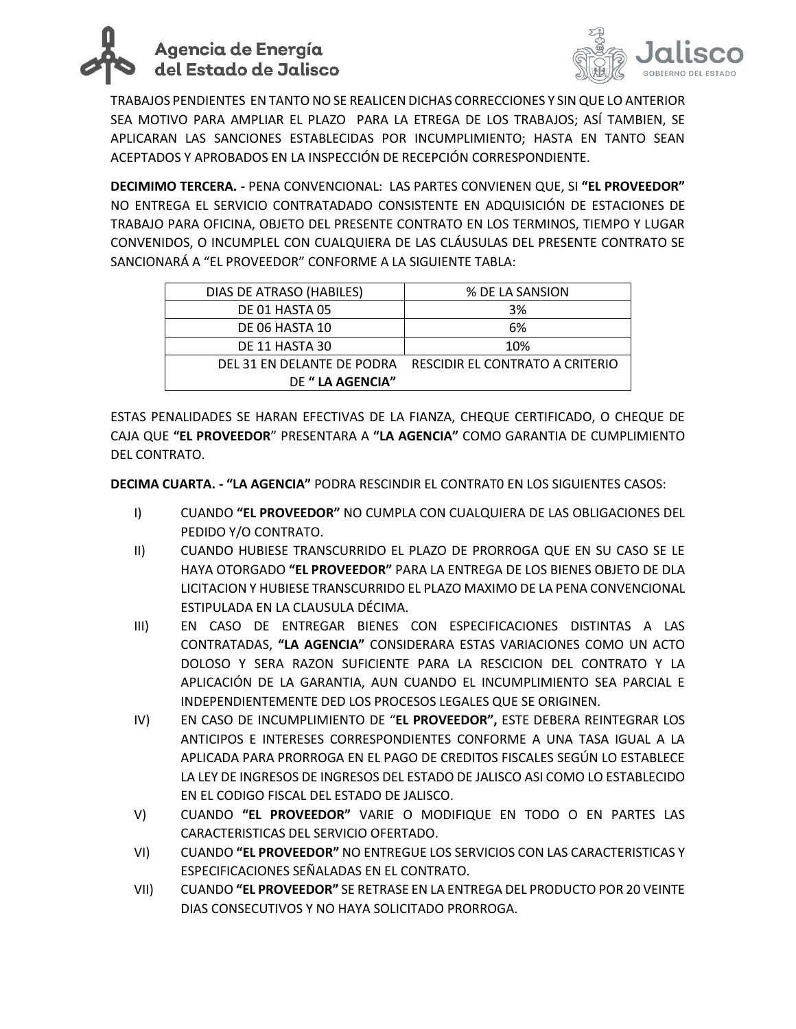



TRABAJOS PENDIENTES EN TANTO NO SE REALICEN DICHAS CORRECCIONES Y SIN QUE LO ANTERIOR SEA MOTIVO PARA AMPLIAR EL PLAZO PARA LA ETREGA DE LOS TRABAJOS; ASÍ TAMBIEN, SE APLICARAN LAS SANCIONES ESTABLECIDAS POR INCUMPLIMIENTO; HASTA EN TANTO SEAN ACEPTADOS Y APROBADOS EN LA INSPECCIÓN DE RECEPCIÓN CORRESPONDIENTE.

**DECIMIMO TERCERA. -** PENA CONVENCIONAL: LAS PARTES CONVIENEN QUE, SI **"EL PROVEEDOR"** NO ENTREGA EL SERVICIO CONTRATADADO CONSISTENTE EN ADQUISICIÓN DE ESTACIONES DE TRABAJO PARA OFICINA, OBJETO DEL PRESENTE CONTRATO EN LOS TERMINOS, TIEMPO Y LUGAR CONVENIDOS, O INCUMPLEL CON CUALQUIERA DE LAS CLÁUSULAS DEL PRESENTE CONTRATO SE SANCIONARÁ A "EL PROVEEDOR" CONFORME A LA SIGUIENTE TABLA:

| DIAS DE ATRASO (HABILES)   | % DE LA SANSION                 |
|----------------------------|---------------------------------|
| DE 01 HASTA 05             | 3%                              |
| DE 06 HASTA 10             | 6%                              |
| DE 11 HASTA 30             | 10%                             |
| DEL 31 EN DELANTE DE PODRA | RESCIDIR EL CONTRATO A CRITERIO |
| DE " LA AGENCIA"           |                                 |

ESTAS PENALIDADES SE HARAN EFECTIVAS DE LA FIANZA, CHEQUE CERTIFICADO, O CHEQUE DE CAJA QUE **"EL PROVEEDOR**" PRESENTARA A **"LA AGENCIA"** COMO GARANTIA DE CUMPLIMIENTO DEL CONTRATO.

**DECIMA CUARTA. - "LA AGENCIA"** PODRA RESCINDIR EL CONTRAT0 EN LOS SIGUIENTES CASOS:

- I) CUANDO **"EL PROVEEDOR"** NO CUMPLA CON CUALQUIERA DE LAS OBLIGACIONES DEL PEDIDO Y/O CONTRATO.
- II) CUANDO HUBIESE TRANSCURRIDO EL PLAZO DE PRORROGA QUE EN SU CASO SE LE HAYA OTORGADO **"EL PROVEEDOR"** PARA LA ENTREGA DE LOS BIENES OBJETO DE DLA LICITACION Y HUBIESE TRANSCURRIDO EL PLAZO MAXIMO DE LA PENA CONVENCIONAL ESTIPULADA EN LA CLAUSULA DÉCIMA.
- III) EN CASO DE ENTREGAR BIENES CON ESPECIFICACIONES DISTINTAS A LAS CONTRATADAS, **"LA AGENCIA"** CONSIDERARA ESTAS VARIACIONES COMO UN ACTO DOLOSO Y SERA RAZON SUFICIENTE PARA LA RESCICION DEL CONTRATO Y LA APLICACIÓN DE LA GARANTIA, AUN CUANDO EL INCUMPLIMIENTO SEA PARCIAL E INDEPENDIENTEMENTE DED LOS PROCESOS LEGALES QUE SE ORIGINEN.
- IV) EN CASO DE INCUMPLIMIENTO DE "**EL PROVEEDOR",** ESTE DEBERA REINTEGRAR LOS ANTICIPOS E INTERESES CORRESPONDIENTES CONFORME A UNA TASA IGUAL A LA APLICADA PARA PRORROGA EN EL PAGO DE CREDITOS FISCALES SEGÚN LO ESTABLECE LA LEY DE INGRESOS DE INGRESOS DEL ESTADO DE JALISCO ASI COMO LO ESTABLECIDO EN EL CODIGO FISCAL DEL ESTADO DE JALISCO.
- V) CUANDO **"EL PROVEEDOR"** VARIE O MODIFIQUE EN TODO O EN PARTES LAS CARACTERISTICAS DEL SERVICIO OFERTADO.
- VI) CUANDO **"EL PROVEEDOR"** NO ENTREGUE LOS SERVICIOS CON LAS CARACTERISTICAS Y ESPECIFICACIONES SEÑALADAS EN EL CONTRATO.
- VII) CUANDO **"EL PROVEEDOR"** SE RETRASE EN LA ENTREGA DEL PRODUCTO POR 20 VEINTE DIAS CONSECUTIVOS Y NO HAYA SOLICITADO PRORROGA.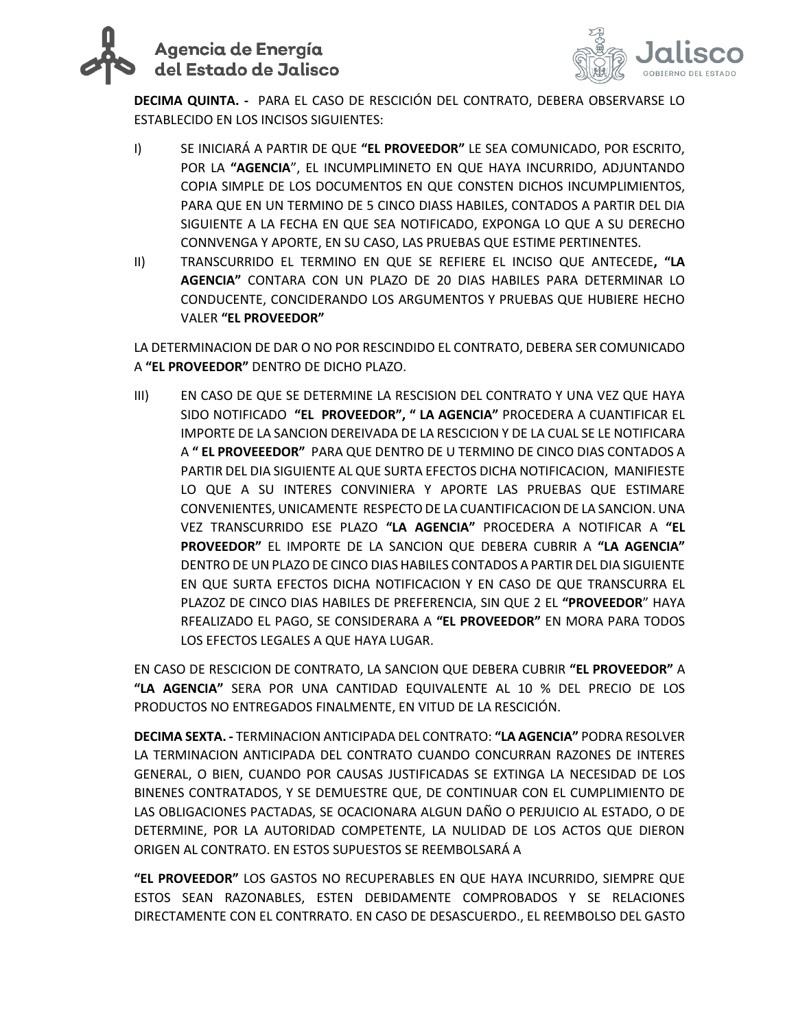# Agencia de Energía del Estado de Jalisco



**DECIMA QUINTA. -** PARA EL CASO DE RESCICIÓN DEL CONTRATO, DEBERA OBSERVARSE LO ESTABLECIDO EN LOS INCISOS SIGUIENTES:

- I) SE INICIARÁ A PARTIR DE QUE **"EL PROVEEDOR"** LE SEA COMUNICADO, POR ESCRITO, POR LA **"AGENCIA**", EL INCUMPLIMINETO EN QUE HAYA INCURRIDO, ADJUNTANDO COPIA SIMPLE DE LOS DOCUMENTOS EN QUE CONSTEN DICHOS INCUMPLIMIENTOS, PARA QUE EN UN TERMINO DE 5 CINCO DIASS HABILES, CONTADOS A PARTIR DEL DIA SIGUIENTE A LA FECHA EN QUE SEA NOTIFICADO, EXPONGA LO QUE A SU DERECHO CONNVENGA Y APORTE, EN SU CASO, LAS PRUEBAS QUE ESTIME PERTINENTES.
- II) TRANSCURRIDO EL TERMINO EN QUE SE REFIERE EL INCISO QUE ANTECEDE**, "LA AGENCIA"** CONTARA CON UN PLAZO DE 20 DIAS HABILES PARA DETERMINAR LO CONDUCENTE, CONCIDERANDO LOS ARGUMENTOS Y PRUEBAS QUE HUBIERE HECHO VALER **"EL PROVEEDOR"**

LA DETERMINACION DE DAR O NO POR RESCINDIDO EL CONTRATO, DEBERA SER COMUNICADO A **"EL PROVEEDOR"** DENTRO DE DICHO PLAZO.

III) EN CASO DE QUE SE DETERMINE LA RESCISION DEL CONTRATO Y UNA VEZ QUE HAYA SIDO NOTIFICADO **"EL PROVEEDOR", " LA AGENCIA"** PROCEDERA A CUANTIFICAR EL IMPORTE DE LA SANCION DEREIVADA DE LA RESCICION Y DE LA CUAL SE LE NOTIFICARA A **" EL PROVEEEDOR"** PARA QUE DENTRO DE U TERMINO DE CINCO DIAS CONTADOS A PARTIR DEL DIA SIGUIENTE AL QUE SURTA EFECTOS DICHA NOTIFICACION, MANIFIESTE LO QUE A SU INTERES CONVINIERA Y APORTE LAS PRUEBAS QUE ESTIMARE CONVENIENTES, UNICAMENTE RESPECTO DE LA CUANTIFICACION DE LA SANCION. UNA VEZ TRANSCURRIDO ESE PLAZO **"LA AGENCIA"** PROCEDERA A NOTIFICAR A **"EL PROVEEDOR"** EL IMPORTE DE LA SANCION QUE DEBERA CUBRIR A **"LA AGENCIA"** DENTRO DE UN PLAZO DE CINCO DIAS HABILES CONTADOS A PARTIR DEL DIA SIGUIENTE EN QUE SURTA EFECTOS DICHA NOTIFICACION Y EN CASO DE QUE TRANSCURRA EL PLAZOZ DE CINCO DIAS HABILES DE PREFERENCIA, SIN QUE 2 EL **"PROVEEDOR**" HAYA RFEALIZADO EL PAGO, SE CONSIDERARA A **"EL PROVEEDOR"** EN MORA PARA TODOS LOS EFECTOS LEGALES A QUE HAYA LUGAR.

EN CASO DE RESCICION DE CONTRATO, LA SANCION QUE DEBERA CUBRIR **"EL PROVEEDOR"** A **"LA AGENCIA"** SERA POR UNA CANTIDAD EQUIVALENTE AL 10 % DEL PRECIO DE LOS PRODUCTOS NO ENTREGADOS FINALMENTE, EN VITUD DE LA RESCICIÓN.

**DECIMA SEXTA. -** TERMINACION ANTICIPADA DEL CONTRATO: **"LA AGENCIA"** PODRA RESOLVER LA TERMINACION ANTICIPADA DEL CONTRATO CUANDO CONCURRAN RAZONES DE INTERES GENERAL, O BIEN, CUANDO POR CAUSAS JUSTIFICADAS SE EXTINGA LA NECESIDAD DE LOS BINENES CONTRATADOS, Y SE DEMUESTRE QUE, DE CONTINUAR CON EL CUMPLIMIENTO DE LAS OBLIGACIONES PACTADAS, SE OCACIONARA ALGUN DAÑO O PERJUICIO AL ESTADO, O DE DETERMINE, POR LA AUTORIDAD COMPETENTE, LA NULIDAD DE LOS ACTOS QUE DIERON ORIGEN AL CONTRATO. EN ESTOS SUPUESTOS SE REEMBOLSARÁ A

**"EL PROVEEDOR"** LOS GASTOS NO RECUPERABLES EN QUE HAYA INCURRIDO, SIEMPRE QUE ESTOS SEAN RAZONABLES, ESTEN DEBIDAMENTE COMPROBADOS Y SE RELACIONES DIRECTAMENTE CON EL CONTRRATO. EN CASO DE DESASCUERDO., EL REEMBOLSO DEL GASTO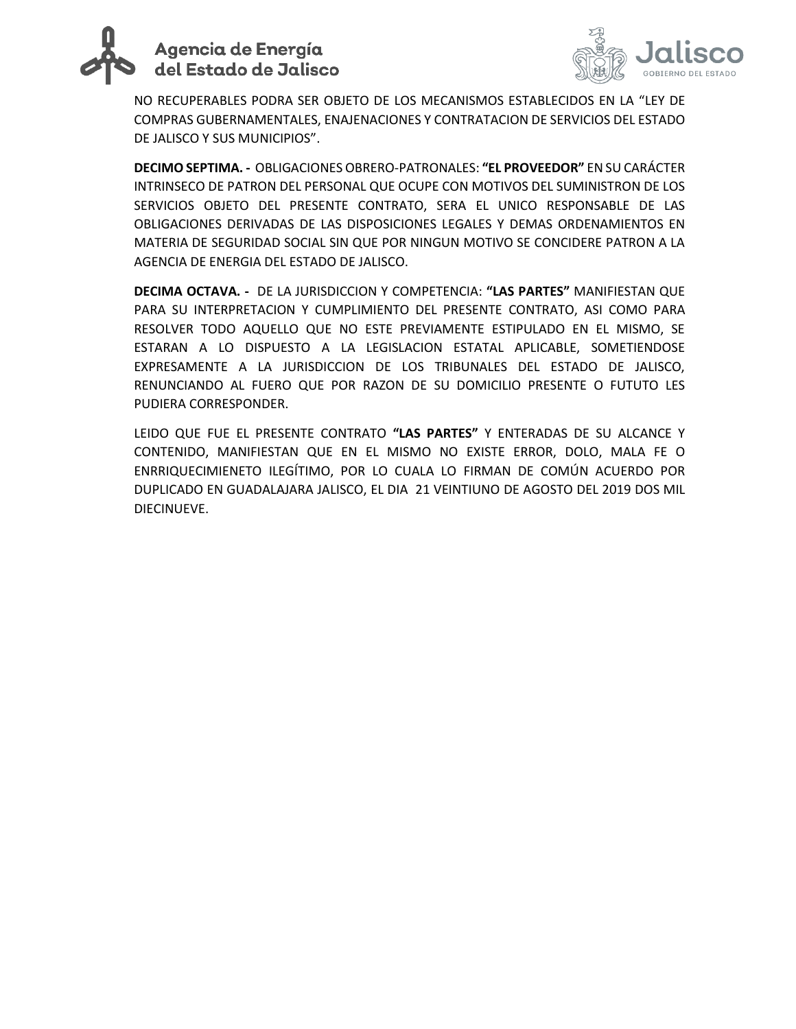



NO RECUPERABLES PODRA SER OBJETO DE LOS MECANISMOS ESTABLECIDOS EN LA "LEY DE COMPRAS GUBERNAMENTALES, ENAJENACIONES Y CONTRATACION DE SERVICIOS DEL ESTADO DE JALISCO Y SUS MUNICIPIOS".

**DECIMO SEPTIMA. -** OBLIGACIONES OBRERO-PATRONALES: **"EL PROVEEDOR"** EN SU CARÁCTER INTRINSECO DE PATRON DEL PERSONAL QUE OCUPE CON MOTIVOS DEL SUMINISTRON DE LOS SERVICIOS OBJETO DEL PRESENTE CONTRATO, SERA EL UNICO RESPONSABLE DE LAS OBLIGACIONES DERIVADAS DE LAS DISPOSICIONES LEGALES Y DEMAS ORDENAMIENTOS EN MATERIA DE SEGURIDAD SOCIAL SIN QUE POR NINGUN MOTIVO SE CONCIDERE PATRON A LA AGENCIA DE ENERGIA DEL ESTADO DE JALISCO.

**DECIMA OCTAVA. -** DE LA JURISDICCION Y COMPETENCIA: **"LAS PARTES"** MANIFIESTAN QUE PARA SU INTERPRETACION Y CUMPLIMIENTO DEL PRESENTE CONTRATO, ASI COMO PARA RESOLVER TODO AQUELLO QUE NO ESTE PREVIAMENTE ESTIPULADO EN EL MISMO, SE ESTARAN A LO DISPUESTO A LA LEGISLACION ESTATAL APLICABLE, SOMETIENDOSE EXPRESAMENTE A LA JURISDICCION DE LOS TRIBUNALES DEL ESTADO DE JALISCO, RENUNCIANDO AL FUERO QUE POR RAZON DE SU DOMICILIO PRESENTE O FUTUTO LES PUDIERA CORRESPONDER.

LEIDO QUE FUE EL PRESENTE CONTRATO **"LAS PARTES"** Y ENTERADAS DE SU ALCANCE Y CONTENIDO, MANIFIESTAN QUE EN EL MISMO NO EXISTE ERROR, DOLO, MALA FE O ENRRIQUECIMIENETO ILEGÍTIMO, POR LO CUALA LO FIRMAN DE COMÚN ACUERDO POR DUPLICADO EN GUADALAJARA JALISCO, EL DIA 21 VEINTIUNO DE AGOSTO DEL 2019 DOS MIL DIECINUEVE.